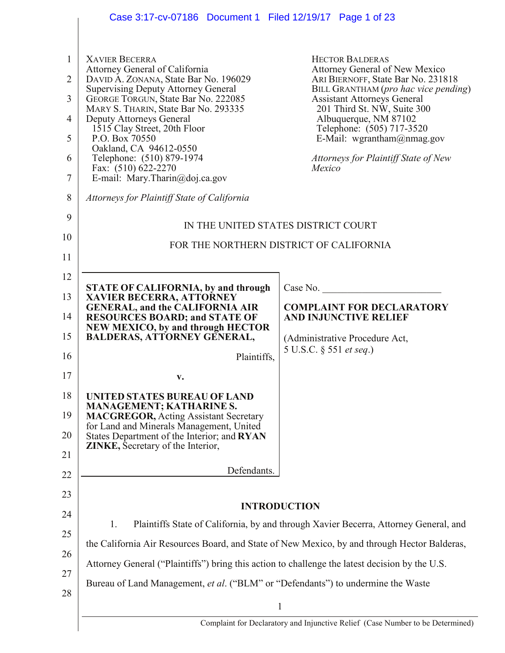|                     | Case 3:17-cv-07186  Document 1  Filed 12/19/17  Page 1 of 23                                     |                                                                                                |  |  |  |  |
|---------------------|--------------------------------------------------------------------------------------------------|------------------------------------------------------------------------------------------------|--|--|--|--|
|                     |                                                                                                  |                                                                                                |  |  |  |  |
| 1<br>$\overline{2}$ | <b>XAVIER BECERRA</b><br>Attorney General of California<br>DAVID A. ZONANA, State Bar No. 196029 | <b>HECTOR BALDERAS</b><br>Attorney General of New Mexico<br>ARI BIERNOFF, State Bar No. 231818 |  |  |  |  |
| 3                   | <b>Supervising Deputy Attorney General</b><br>GEORGE TORGUN, State Bar No. 222085                | BILL GRANTHAM (pro hac vice pending)<br><b>Assistant Attorneys General</b>                     |  |  |  |  |
| $\overline{4}$      | MARY S. THARIN, State Bar No. 293335<br><b>Deputy Attorneys General</b>                          | 201 Third St. NW, Suite 300<br>Albuquerque, NM 87102                                           |  |  |  |  |
| 5                   | 1515 Clay Street, 20th Floor<br>P.O. Box 70550                                                   | Telephone: (505) 717-3520<br>E-Mail: wgrantham@nmag.gov                                        |  |  |  |  |
| 6                   | Oakland, CA 94612-0550<br>Telephone: (510) 879-1974                                              | Attorneys for Plaintiff State of New                                                           |  |  |  |  |
| $\tau$              | Fax: (510) 622-2270<br>E-mail: Mary.Tharin@doj.ca.gov                                            | Mexico                                                                                         |  |  |  |  |
| 8                   | Attorneys for Plaintiff State of California                                                      |                                                                                                |  |  |  |  |
| 9                   |                                                                                                  | IN THE UNITED STATES DISTRICT COURT                                                            |  |  |  |  |
| 10                  | FOR THE NORTHERN DISTRICT OF CALIFORNIA                                                          |                                                                                                |  |  |  |  |
| 11                  |                                                                                                  |                                                                                                |  |  |  |  |
| 12                  | <b>STATE OF CALIFORNIA, by and through</b>                                                       | Case No.                                                                                       |  |  |  |  |
| 13                  | <b>XAVIER BECERRA, ATTORNEY</b><br><b>GENERAL, and the CALIFORNIA AIR</b>                        | <b>COMPLAINT FOR DECLARATORY</b>                                                               |  |  |  |  |
| 14                  | <b>RESOURCES BOARD; and STATE OF</b><br><b>NEW MEXICO, by and through HECTOR</b>                 | <b>AND INJUNCTIVE RELIEF</b>                                                                   |  |  |  |  |
| 15                  | <b>BALDERAS, ATTORNEY GENERAL,</b>                                                               | (Administrative Procedure Act,                                                                 |  |  |  |  |
| 16                  | Plaintiffs,                                                                                      | 5 U.S.C. § 551 et seq.)                                                                        |  |  |  |  |
| 17                  |                                                                                                  |                                                                                                |  |  |  |  |
| 18                  | UNITED STATES BUREAU OF LAND<br><b>MANAGEMENT; KATHARINE S.</b>                                  |                                                                                                |  |  |  |  |
| 19                  | <b>MACGREGOR, Acting Assistant Secretary</b><br>for Land and Minerals Management, United         |                                                                                                |  |  |  |  |
| 20                  | States Department of the Interior; and RYAN<br><b>ZINKE</b> , Secretary of the Interior,         |                                                                                                |  |  |  |  |
| 21                  | Defendants.                                                                                      |                                                                                                |  |  |  |  |
| 22                  |                                                                                                  |                                                                                                |  |  |  |  |
| 23<br>24            | <b>INTRODUCTION</b>                                                                              |                                                                                                |  |  |  |  |
| 25                  | Plaintiffs State of California, by and through Xavier Becerra, Attorney General, and<br>1.       |                                                                                                |  |  |  |  |
| 26                  | the California Air Resources Board, and State of New Mexico, by and through Hector Balderas,     |                                                                                                |  |  |  |  |
| 27                  | Attorney General ("Plaintiffs") bring this action to challenge the latest decision by the U.S.   |                                                                                                |  |  |  |  |
| 28                  | Bureau of Land Management, et al. ("BLM" or "Defendants") to undermine the Waste                 |                                                                                                |  |  |  |  |
|                     | $\mathbf{1}$                                                                                     |                                                                                                |  |  |  |  |
|                     | Complaint for Declaratory and Injunctive Relief (Case Number to be Determined)                   |                                                                                                |  |  |  |  |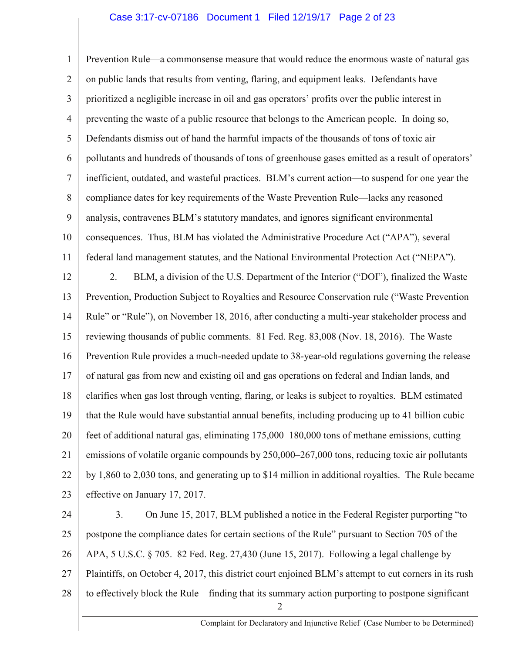## Case 3:17-cv-07186 Document 1 Filed 12/19/17 Page 2 of 23

1 2 3 4 5 6 7 8 9 10 11 12 13 14 15 16 17 Prevention Rule—a commonsense measure that would reduce the enormous waste of natural gas on public lands that results from venting, flaring, and equipment leaks. Defendants have prioritized a negligible increase in oil and gas operators' profits over the public interest in preventing the waste of a public resource that belongs to the American people. In doing so, Defendants dismiss out of hand the harmful impacts of the thousands of tons of toxic air pollutants and hundreds of thousands of tons of greenhouse gases emitted as a result of operators' inefficient, outdated, and wasteful practices. BLM's current action—to suspend for one year the compliance dates for key requirements of the Waste Prevention Rule—lacks any reasoned analysis, contravenes BLM's statutory mandates, and ignores significant environmental consequences. Thus, BLM has violated the Administrative Procedure Act ("APA"), several federal land management statutes, and the National Environmental Protection Act ("NEPA"). 2. BLM, a division of the U.S. Department of the Interior ("DOI"), finalized the Waste Prevention, Production Subject to Royalties and Resource Conservation rule ("Waste Prevention Rule" or "Rule"), on November 18, 2016, after conducting a multi-year stakeholder process and reviewing thousands of public comments. 81 Fed. Reg. 83,008 (Nov. 18, 2016). The Waste Prevention Rule provides a much-needed update to 38-year-old regulations governing the release of natural gas from new and existing oil and gas operations on federal and Indian lands, and

18 19 20 21 22 23 clarifies when gas lost through venting, flaring, or leaks is subject to royalties. BLM estimated that the Rule would have substantial annual benefits, including producing up to 41 billion cubic feet of additional natural gas, eliminating 175,000–180,000 tons of methane emissions, cutting emissions of volatile organic compounds by 250,000–267,000 tons, reducing toxic air pollutants by 1,860 to 2,030 tons, and generating up to \$14 million in additional royalties. The Rule became effective on January 17, 2017.

24 25 26 27 28 2 3. On June 15, 2017, BLM published a notice in the Federal Register purporting "to postpone the compliance dates for certain sections of the Rule" pursuant to Section 705 of the APA, 5 U.S.C. § 705. 82 Fed. Reg. 27,430 (June 15, 2017). Following a legal challenge by Plaintiffs, on October 4, 2017, this district court enjoined BLM's attempt to cut corners in its rush to effectively block the Rule—finding that its summary action purporting to postpone significant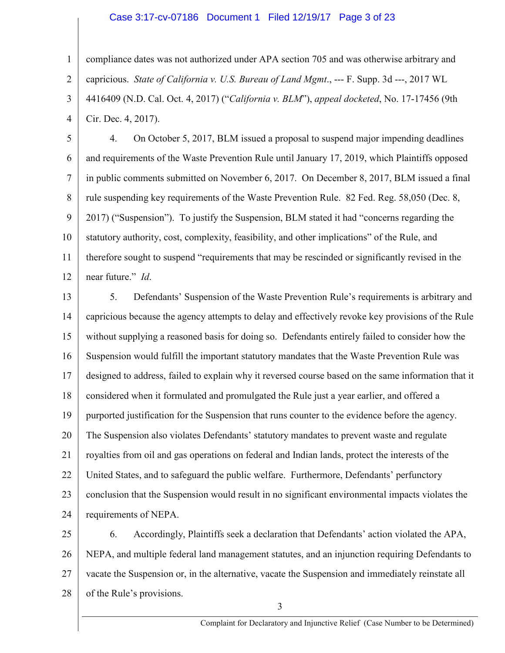## Case 3:17-cv-07186 Document 1 Filed 12/19/17 Page 3 of 23

1 2 3 4 compliance dates was not authorized under APA section 705 and was otherwise arbitrary and capricious. *State of California v. U.S. Bureau of Land Mgmt*., --- F. Supp. 3d ---, 2017 WL 4416409 (N.D. Cal. Oct. 4, 2017) ("*California v. BLM*"), *appeal docketed*, No. 17-17456 (9th Cir. Dec. 4, 2017).

5 6 7 8 9 10 11 12 4. On October 5, 2017, BLM issued a proposal to suspend major impending deadlines and requirements of the Waste Prevention Rule until January 17, 2019, which Plaintiffs opposed in public comments submitted on November 6, 2017. On December 8, 2017, BLM issued a final rule suspending key requirements of the Waste Prevention Rule. 82 Fed. Reg. 58,050 (Dec. 8, 2017) ("Suspension"). To justify the Suspension, BLM stated it had "concerns regarding the statutory authority, cost, complexity, feasibility, and other implications" of the Rule, and therefore sought to suspend "requirements that may be rescinded or significantly revised in the near future." *Id*.

13 14 15 16 17 18 19 20 21 22 23 24 5. Defendants' Suspension of the Waste Prevention Rule's requirements is arbitrary and capricious because the agency attempts to delay and effectively revoke key provisions of the Rule without supplying a reasoned basis for doing so. Defendants entirely failed to consider how the Suspension would fulfill the important statutory mandates that the Waste Prevention Rule was designed to address, failed to explain why it reversed course based on the same information that it considered when it formulated and promulgated the Rule just a year earlier, and offered a purported justification for the Suspension that runs counter to the evidence before the agency. The Suspension also violates Defendants' statutory mandates to prevent waste and regulate royalties from oil and gas operations on federal and Indian lands, protect the interests of the United States, and to safeguard the public welfare. Furthermore, Defendants' perfunctory conclusion that the Suspension would result in no significant environmental impacts violates the requirements of NEPA.

25 26 27 28 6. Accordingly, Plaintiffs seek a declaration that Defendants' action violated the APA, NEPA, and multiple federal land management statutes, and an injunction requiring Defendants to vacate the Suspension or, in the alternative, vacate the Suspension and immediately reinstate all of the Rule's provisions.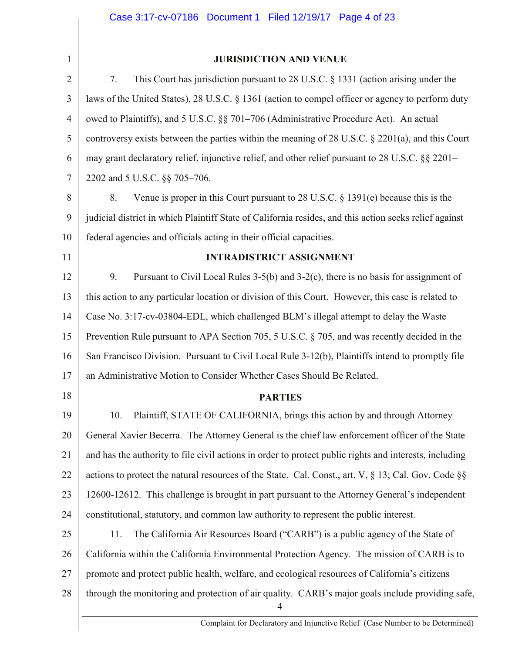| 1              | <b>JURISDICTION AND VENUE</b>                                                                                      |  |  |  |
|----------------|--------------------------------------------------------------------------------------------------------------------|--|--|--|
| $\overline{2}$ | This Court has jurisdiction pursuant to $28$ U.S.C. § 1331 (action arising under the<br>7.                         |  |  |  |
| 3              | laws of the United States), 28 U.S.C. § 1361 (action to compel officer or agency to perform duty                   |  |  |  |
| 4              | owed to Plaintiffs), and 5 U.S.C. §§ 701–706 (Administrative Procedure Act). An actual                             |  |  |  |
| 5              | controversy exists between the parties within the meaning of 28 U.S.C. § 2201(a), and this Court                   |  |  |  |
| 6              | may grant declaratory relief, injunctive relief, and other relief pursuant to 28 U.S.C. §§ 2201–                   |  |  |  |
| 7              | 2202 and 5 U.S.C. §§ 705-706.                                                                                      |  |  |  |
| 8              | Venue is proper in this Court pursuant to 28 U.S.C. $\S$ 1391(e) because this is the<br>8.                         |  |  |  |
| 9              | judicial district in which Plaintiff State of California resides, and this action seeks relief against             |  |  |  |
| 10             | federal agencies and officials acting in their official capacities.                                                |  |  |  |
| 11             | <b>INTRADISTRICT ASSIGNMENT</b>                                                                                    |  |  |  |
| 12             | Pursuant to Civil Local Rules $3-5(b)$ and $3-2(c)$ , there is no basis for assignment of<br>9.                    |  |  |  |
| 13             | this action to any particular location or division of this Court. However, this case is related to                 |  |  |  |
| 14             | Case No. 3:17-cv-03804-EDL, which challenged BLM's illegal attempt to delay the Waste                              |  |  |  |
| 15             | Prevention Rule pursuant to APA Section 705, 5 U.S.C. § 705, and was recently decided in the                       |  |  |  |
| 16             | San Francisco Division. Pursuant to Civil Local Rule 3-12(b), Plaintiffs intend to promptly file                   |  |  |  |
| 17             | an Administrative Motion to Consider Whether Cases Should Be Related.                                              |  |  |  |
| 18             | <b>PARTIES</b>                                                                                                     |  |  |  |
| 19             | Plaintiff, STATE OF CALIFORNIA, brings this action by and through Attorney<br>10.                                  |  |  |  |
| 20             | General Xavier Becerra. The Attorney General is the chief law enforcement officer of the State                     |  |  |  |
| 21             | and has the authority to file civil actions in order to protect public rights and interests, including             |  |  |  |
| 22             | actions to protect the natural resources of the State. Cal. Const., art. V, § 13; Cal. Gov. Code §§                |  |  |  |
| 23             | 12600-12612. This challenge is brought in part pursuant to the Attorney General's independent                      |  |  |  |
| 24             | constitutional, statutory, and common law authority to represent the public interest.                              |  |  |  |
| 25             | 11.<br>The California Air Resources Board ("CARB") is a public agency of the State of                              |  |  |  |
| 26             | California within the California Environmental Protection Agency. The mission of CARB is to                        |  |  |  |
| 27             | promote and protect public health, welfare, and ecological resources of California's citizens                      |  |  |  |
| 28             | through the monitoring and protection of air quality. CARB's major goals include providing safe,<br>$\overline{4}$ |  |  |  |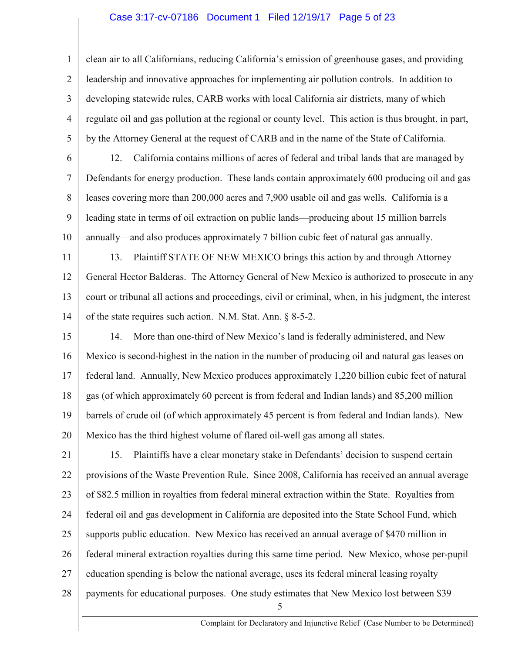### Case 3:17-cv-07186 Document 1 Filed 12/19/17 Page 5 of 23

1 2 3 4 5 clean air to all Californians, reducing California's emission of greenhouse gases, and providing leadership and innovative approaches for implementing air pollution controls. In addition to developing statewide rules, CARB works with local California air districts, many of which regulate oil and gas pollution at the regional or county level. This action is thus brought, in part, by the Attorney General at the request of CARB and in the name of the State of California.

6

7

8

9

10

12. California contains millions of acres of federal and tribal lands that are managed by Defendants for energy production. These lands contain approximately 600 producing oil and gas leases covering more than 200,000 acres and 7,900 usable oil and gas wells. California is a leading state in terms of oil extraction on public lands—producing about 15 million barrels annually—and also produces approximately 7 billion cubic feet of natural gas annually.

11 12 13 14 13. Plaintiff STATE OF NEW MEXICO brings this action by and through Attorney General Hector Balderas. The Attorney General of New Mexico is authorized to prosecute in any court or tribunal all actions and proceedings, civil or criminal, when, in his judgment, the interest of the state requires such action. N.M. Stat. Ann. § 8-5-2.

15 16 17 18 19 20 14. More than one-third of New Mexico's land is federally administered, and New Mexico is second-highest in the nation in the number of producing oil and natural gas leases on federal land. Annually, New Mexico produces approximately 1,220 billion cubic feet of natural gas (of which approximately 60 percent is from federal and Indian lands) and 85,200 million barrels of crude oil (of which approximately 45 percent is from federal and Indian lands). New Mexico has the third highest volume of flared oil-well gas among all states.

21 22 23 24 25 26 27 28 15. Plaintiffs have a clear monetary stake in Defendants' decision to suspend certain provisions of the Waste Prevention Rule. Since 2008, California has received an annual average of \$82.5 million in royalties from federal mineral extraction within the State. Royalties from federal oil and gas development in California are deposited into the State School Fund, which supports public education. New Mexico has received an annual average of \$470 million in federal mineral extraction royalties during this same time period. New Mexico, whose per-pupil education spending is below the national average, uses its federal mineral leasing royalty payments for educational purposes. One study estimates that New Mexico lost between \$39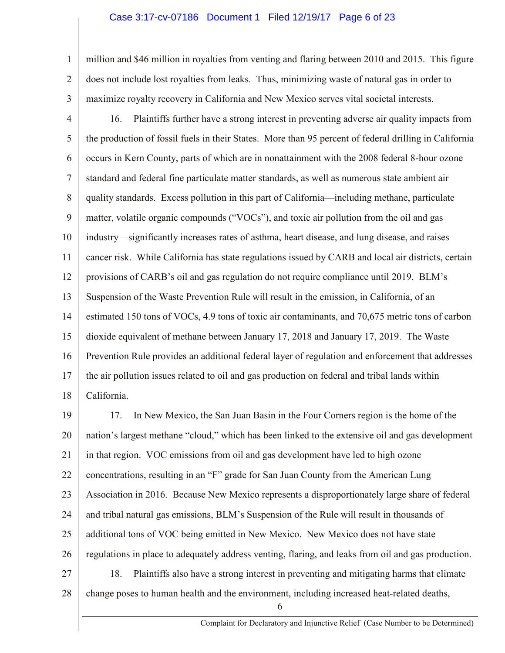#### Case 3:17-cv-07186 Document 1 Filed 12/19/17 Page 6 of 23

1 2 million and \$46 million in royalties from venting and flaring between 2010 and 2015. This figure does not include lost royalties from leaks. Thus, minimizing waste of natural gas in order to maximize royalty recovery in California and New Mexico serves vital societal interests.

3

4 5 6 7 8 9 10 11 12 13 14 15 16 17 18 16. Plaintiffs further have a strong interest in preventing adverse air quality impacts from the production of fossil fuels in their States. More than 95 percent of federal drilling in California occurs in Kern County, parts of which are in nonattainment with the 2008 federal 8-hour ozone standard and federal fine particulate matter standards, as well as numerous state ambient air quality standards. Excess pollution in this part of California—including methane, particulate matter, volatile organic compounds ("VOCs"), and toxic air pollution from the oil and gas industry—significantly increases rates of asthma, heart disease, and lung disease, and raises cancer risk. While California has state regulations issued by CARB and local air districts, certain provisions of CARB's oil and gas regulation do not require compliance until 2019. BLM's Suspension of the Waste Prevention Rule will result in the emission, in California, of an estimated 150 tons of VOCs, 4.9 tons of toxic air contaminants, and 70,675 metric tons of carbon dioxide equivalent of methane between January 17, 2018 and January 17, 2019. The Waste Prevention Rule provides an additional federal layer of regulation and enforcement that addresses the air pollution issues related to oil and gas production on federal and tribal lands within California.

19 20 21 22 23 24 25 26 27 17. In New Mexico, the San Juan Basin in the Four Corners region is the home of the nation's largest methane "cloud," which has been linked to the extensive oil and gas development in that region. VOC emissions from oil and gas development have led to high ozone concentrations, resulting in an "F" grade for San Juan County from the American Lung Association in 2016. Because New Mexico represents a disproportionately large share of federal and tribal natural gas emissions, BLM's Suspension of the Rule will result in thousands of additional tons of VOC being emitted in New Mexico. New Mexico does not have state regulations in place to adequately address venting, flaring, and leaks from oil and gas production. 18. Plaintiffs also have a strong interest in preventing and mitigating harms that climate

28 change poses to human health and the environment, including increased heat-related deaths,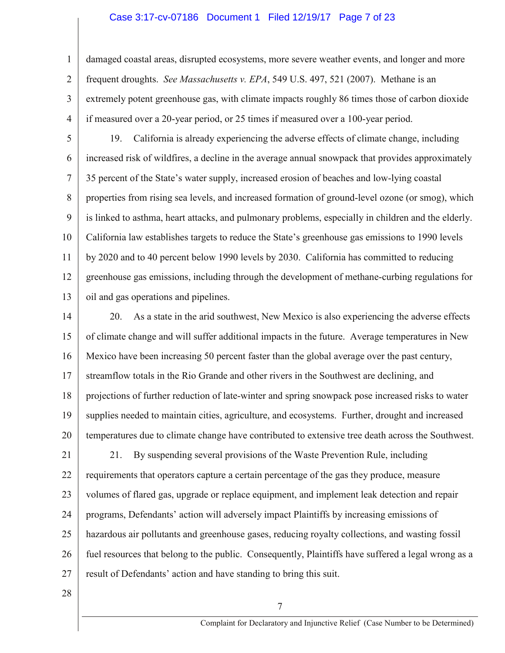#### Case 3:17-cv-07186 Document 1 Filed 12/19/17 Page 7 of 23

1 2 3 4 damaged coastal areas, disrupted ecosystems, more severe weather events, and longer and more frequent droughts. *See Massachusetts v. EPA*, 549 U.S. 497, 521 (2007). Methane is an extremely potent greenhouse gas, with climate impacts roughly 86 times those of carbon dioxide if measured over a 20-year period, or 25 times if measured over a 100-year period.

5 6 7 8 9 10 11 12 13 19. California is already experiencing the adverse effects of climate change, including increased risk of wildfires, a decline in the average annual snowpack that provides approximately 35 percent of the State's water supply, increased erosion of beaches and low-lying coastal properties from rising sea levels, and increased formation of ground-level ozone (or smog), which is linked to asthma, heart attacks, and pulmonary problems, especially in children and the elderly. California law establishes targets to reduce the State's greenhouse gas emissions to 1990 levels by 2020 and to 40 percent below 1990 levels by 2030. California has committed to reducing greenhouse gas emissions, including through the development of methane-curbing regulations for oil and gas operations and pipelines.

14 15 16 17 18 19 20 20. As a state in the arid southwest, New Mexico is also experiencing the adverse effects of climate change and will suffer additional impacts in the future. Average temperatures in New Mexico have been increasing 50 percent faster than the global average over the past century, streamflow totals in the Rio Grande and other rivers in the Southwest are declining, and projections of further reduction of late-winter and spring snowpack pose increased risks to water supplies needed to maintain cities, agriculture, and ecosystems. Further, drought and increased temperatures due to climate change have contributed to extensive tree death across the Southwest.

21 22 23 24 25 26 27 21. By suspending several provisions of the Waste Prevention Rule, including requirements that operators capture a certain percentage of the gas they produce, measure volumes of flared gas, upgrade or replace equipment, and implement leak detection and repair programs, Defendants' action will adversely impact Plaintiffs by increasing emissions of hazardous air pollutants and greenhouse gases, reducing royalty collections, and wasting fossil fuel resources that belong to the public. Consequently, Plaintiffs have suffered a legal wrong as a result of Defendants' action and have standing to bring this suit.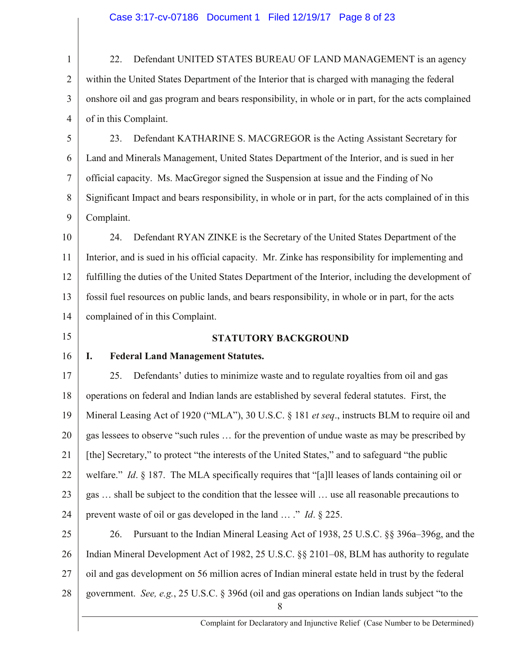1 2 3 4 5 22. Defendant UNITED STATES BUREAU OF LAND MANAGEMENT is an agency within the United States Department of the Interior that is charged with managing the federal onshore oil and gas program and bears responsibility, in whole or in part, for the acts complained of in this Complaint. 23. Defendant KATHARINE S. MACGREGOR is the Acting Assistant Secretary for

6 7 8 9 Land and Minerals Management, United States Department of the Interior, and is sued in her official capacity. Ms. MacGregor signed the Suspension at issue and the Finding of No Significant Impact and bears responsibility, in whole or in part, for the acts complained of in this Complaint.

10 11 12 13 14 24. Defendant RYAN ZINKE is the Secretary of the United States Department of the Interior, and is sued in his official capacity. Mr. Zinke has responsibility for implementing and fulfilling the duties of the United States Department of the Interior, including the development of fossil fuel resources on public lands, and bears responsibility, in whole or in part, for the acts complained of in this Complaint.

15

### **STATUTORY BACKGROUND**

## 16

## **I. Federal Land Management Statutes.**

17 18 19 20 21 22 23 24 25. Defendants' duties to minimize waste and to regulate royalties from oil and gas operations on federal and Indian lands are established by several federal statutes. First, the Mineral Leasing Act of 1920 ("MLA"), 30 U.S.C. § 181 *et seq*., instructs BLM to require oil and gas lessees to observe "such rules … for the prevention of undue waste as may be prescribed by [the] Secretary," to protect "the interests of the United States," and to safeguard "the public welfare." *Id*. § 187. The MLA specifically requires that "[a]ll leases of lands containing oil or gas … shall be subject to the condition that the lessee will … use all reasonable precautions to prevent waste of oil or gas developed in the land … ." *Id*. § 225.

25 26 27 28 8 26. Pursuant to the Indian Mineral Leasing Act of 1938, 25 U.S.C. §§ 396a–396g, and the Indian Mineral Development Act of 1982, 25 U.S.C. §§ 2101–08, BLM has authority to regulate oil and gas development on 56 million acres of Indian mineral estate held in trust by the federal government. *See, e.g.*, 25 U.S.C. § 396d (oil and gas operations on Indian lands subject "to the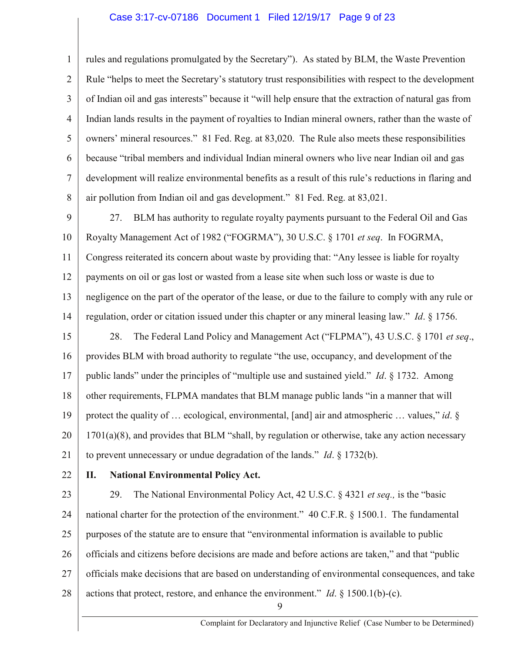#### Case 3:17-cv-07186 Document 1 Filed 12/19/17 Page 9 of 23

1 2 3 4 5 6 7 8 rules and regulations promulgated by the Secretary"). As stated by BLM, the Waste Prevention Rule "helps to meet the Secretary's statutory trust responsibilities with respect to the development of Indian oil and gas interests" because it "will help ensure that the extraction of natural gas from Indian lands results in the payment of royalties to Indian mineral owners, rather than the waste of owners' mineral resources." 81 Fed. Reg. at 83,020. The Rule also meets these responsibilities because "tribal members and individual Indian mineral owners who live near Indian oil and gas development will realize environmental benefits as a result of this rule's reductions in flaring and air pollution from Indian oil and gas development." 81 Fed. Reg. at 83,021.

9 10 11 12 13 14 27. BLM has authority to regulate royalty payments pursuant to the Federal Oil and Gas Royalty Management Act of 1982 ("FOGRMA"), 30 U.S.C. § 1701 *et seq*. In FOGRMA, Congress reiterated its concern about waste by providing that: "Any lessee is liable for royalty payments on oil or gas lost or wasted from a lease site when such loss or waste is due to negligence on the part of the operator of the lease, or due to the failure to comply with any rule or regulation, order or citation issued under this chapter or any mineral leasing law." *Id*. § 1756.

15 16 17 18 19 20 21 28. The Federal Land Policy and Management Act ("FLPMA"), 43 U.S.C. § 1701 *et seq*., provides BLM with broad authority to regulate "the use, occupancy, and development of the public lands" under the principles of "multiple use and sustained yield." *Id*. § 1732. Among other requirements, FLPMA mandates that BLM manage public lands "in a manner that will protect the quality of … ecological, environmental, [and] air and atmospheric … values," *id*. § 1701(a)(8), and provides that BLM "shall, by regulation or otherwise, take any action necessary to prevent unnecessary or undue degradation of the lands." *Id*. § 1732(b).

22

## **II. National Environmental Policy Act.**

23 24 25 26 27 28 29. The National Environmental Policy Act, 42 U.S.C. § 4321 *et seq.,* is the "basic national charter for the protection of the environment." 40 C.F.R. § 1500.1. The fundamental purposes of the statute are to ensure that "environmental information is available to public officials and citizens before decisions are made and before actions are taken," and that "public officials make decisions that are based on understanding of environmental consequences, and take actions that protect, restore, and enhance the environment." *Id*. § 1500.1(b)-(c).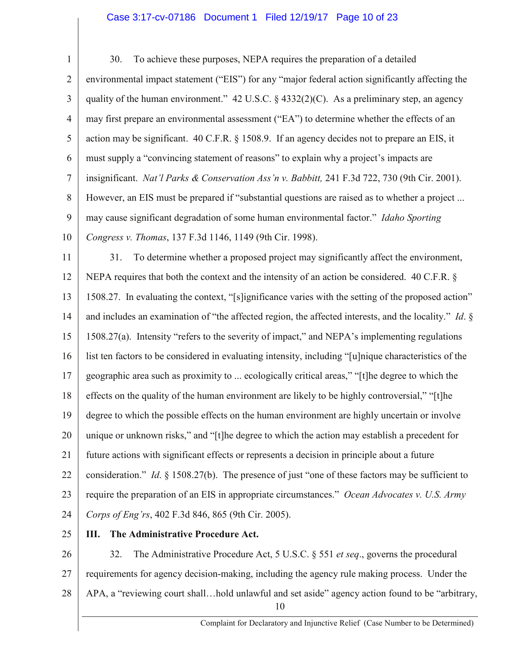## Case 3:17-cv-07186 Document 1 Filed 12/19/17 Page 10 of 23

1 2 3 4 5 6 7 8 9 10 11 30. To achieve these purposes, NEPA requires the preparation of a detailed environmental impact statement ("EIS") for any "major federal action significantly affecting the quality of the human environment."  $42 \text{ U.S.C.}$  §  $4332(2)(\text{C})$ . As a preliminary step, an agency may first prepare an environmental assessment ("EA") to determine whether the effects of an action may be significant. 40 C.F.R. § 1508.9. If an agency decides not to prepare an EIS, it must supply a "convincing statement of reasons" to explain why a project's impacts are insignificant. *Nat'l Parks & Conservation Ass'n v. Babbitt,* 241 F.3d 722, 730 (9th Cir. 2001). However, an EIS must be prepared if "substantial questions are raised as to whether a project ... may cause significant degradation of some human environmental factor." *Idaho Sporting Congress v. Thomas*, 137 F.3d 1146, 1149 (9th Cir. 1998). 31. To determine whether a proposed project may significantly affect the environment,

12 13 14 15 16 17 18 19 20 21 22 23 24 NEPA requires that both the context and the intensity of an action be considered. 40 C.F.R. § 1508.27. In evaluating the context, "[s]ignificance varies with the setting of the proposed action" and includes an examination of "the affected region, the affected interests, and the locality." *Id*. § 1508.27(a). Intensity "refers to the severity of impact," and NEPA's implementing regulations list ten factors to be considered in evaluating intensity, including "[u]nique characteristics of the geographic area such as proximity to ... ecologically critical areas," "[t]he degree to which the effects on the quality of the human environment are likely to be highly controversial," "[t]he degree to which the possible effects on the human environment are highly uncertain or involve unique or unknown risks," and "[t]he degree to which the action may establish a precedent for future actions with significant effects or represents a decision in principle about a future consideration." *Id*. § 1508.27(b). The presence of just "one of these factors may be sufficient to require the preparation of an EIS in appropriate circumstances." *Ocean Advocates v. U.S. Army Corps of Eng'rs*, 402 F.3d 846, 865 (9th Cir. 2005).

25

## **III. The Administrative Procedure Act.**

26 27 28 10 32. The Administrative Procedure Act, 5 U.S.C. § 551 *et seq*., governs the procedural requirements for agency decision-making, including the agency rule making process. Under the APA, a "reviewing court shall…hold unlawful and set aside" agency action found to be "arbitrary,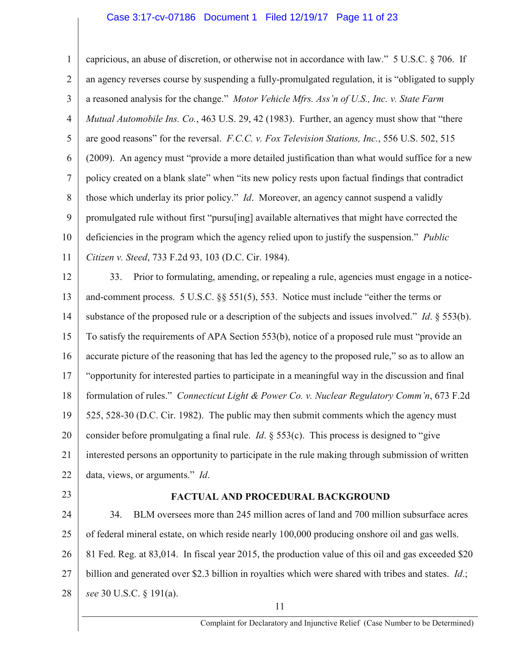#### Case 3:17-cv-07186 Document 1 Filed 12/19/17 Page 11 of 23

1 2 3 4 5 6 7 8 9 10 11 an agency reverses course by suspending a fully-promulgated regulation, it is "obligated to supply a reasoned analysis for the change." *Motor Vehicle Mfrs. Ass'n of U.S., Inc. v. State Farm Mutual Automobile Ins. Co.*, 463 U.S. 29, 42 (1983). Further, an agency must show that "there are good reasons" for the reversal. *F.C.C. v. Fox Television Stations, Inc.*, 556 U.S. 502, 515 (2009). An agency must "provide a more detailed justification than what would suffice for a new policy created on a blank slate" when "its new policy rests upon factual findings that contradict those which underlay its prior policy." *Id*. Moreover, an agency cannot suspend a validly promulgated rule without first "pursu[ing] available alternatives that might have corrected the deficiencies in the program which the agency relied upon to justify the suspension." *Public Citizen v. Steed*, 733 F.2d 93, 103 (D.C. Cir. 1984).

12 13 14 15 16 17 18 19 20 21 22 33. Prior to formulating, amending, or repealing a rule, agencies must engage in a noticeand-comment process. 5 U.S.C. §§ 551(5), 553. Notice must include "either the terms or substance of the proposed rule or a description of the subjects and issues involved." *Id*. § 553(b). To satisfy the requirements of APA Section 553(b), notice of a proposed rule must "provide an accurate picture of the reasoning that has led the agency to the proposed rule," so as to allow an "opportunity for interested parties to participate in a meaningful way in the discussion and final formulation of rules." *Connecticut Light & Power Co. v. Nuclear Regulatory Comm'n*, 673 F.2d 525, 528-30 (D.C. Cir. 1982). The public may then submit comments which the agency must consider before promulgating a final rule. *Id*. § 553(c). This process is designed to "give interested persons an opportunity to participate in the rule making through submission of written data, views, or arguments." *Id*.

23

## **FACTUAL AND PROCEDURAL BACKGROUND**

24 25 26 27 28 34. BLM oversees more than 245 million acres of land and 700 million subsurface acres of federal mineral estate, on which reside nearly 100,000 producing onshore oil and gas wells. 81 Fed. Reg. at 83,014. In fiscal year 2015, the production value of this oil and gas exceeded \$20 billion and generated over \$2.3 billion in royalties which were shared with tribes and states. *Id*.; *see* 30 U.S.C. § 191(a).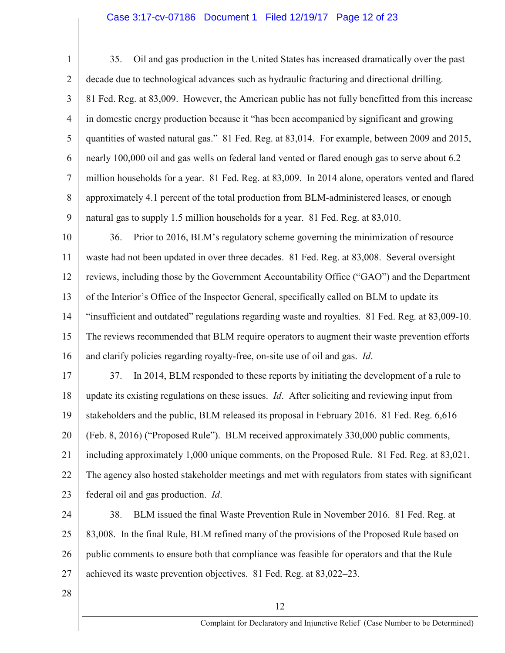## Case 3:17-cv-07186 Document 1 Filed 12/19/17 Page 12 of 23

1 2 3 4 5 6 7 8 9 35. Oil and gas production in the United States has increased dramatically over the past decade due to technological advances such as hydraulic fracturing and directional drilling. 81 Fed. Reg. at 83,009. However, the American public has not fully benefitted from this increase in domestic energy production because it "has been accompanied by significant and growing quantities of wasted natural gas." 81 Fed. Reg. at 83,014. For example, between 2009 and 2015, nearly 100,000 oil and gas wells on federal land vented or flared enough gas to serve about 6.2 million households for a year. 81 Fed. Reg. at 83,009. In 2014 alone, operators vented and flared approximately 4.1 percent of the total production from BLM-administered leases, or enough natural gas to supply 1.5 million households for a year. 81 Fed. Reg. at 83,010.

10 11 12 13 14 15 16 36. Prior to 2016, BLM's regulatory scheme governing the minimization of resource waste had not been updated in over three decades. 81 Fed. Reg. at 83,008. Several oversight reviews, including those by the Government Accountability Office ("GAO") and the Department of the Interior's Office of the Inspector General, specifically called on BLM to update its "insufficient and outdated" regulations regarding waste and royalties. 81 Fed. Reg. at 83,009-10. The reviews recommended that BLM require operators to augment their waste prevention efforts and clarify policies regarding royalty-free, on-site use of oil and gas. *Id*.

17 18 19 20 21 22 23 37. In 2014, BLM responded to these reports by initiating the development of a rule to update its existing regulations on these issues. *Id*. After soliciting and reviewing input from stakeholders and the public, BLM released its proposal in February 2016. 81 Fed. Reg. 6,616 (Feb. 8, 2016) ("Proposed Rule"). BLM received approximately 330,000 public comments, including approximately 1,000 unique comments, on the Proposed Rule. 81 Fed. Reg. at 83,021. The agency also hosted stakeholder meetings and met with regulators from states with significant federal oil and gas production. *Id*.

24 25 26 27 38. BLM issued the final Waste Prevention Rule in November 2016. 81 Fed. Reg. at 83,008. In the final Rule, BLM refined many of the provisions of the Proposed Rule based on public comments to ensure both that compliance was feasible for operators and that the Rule achieved its waste prevention objectives. 81 Fed. Reg. at 83,022–23.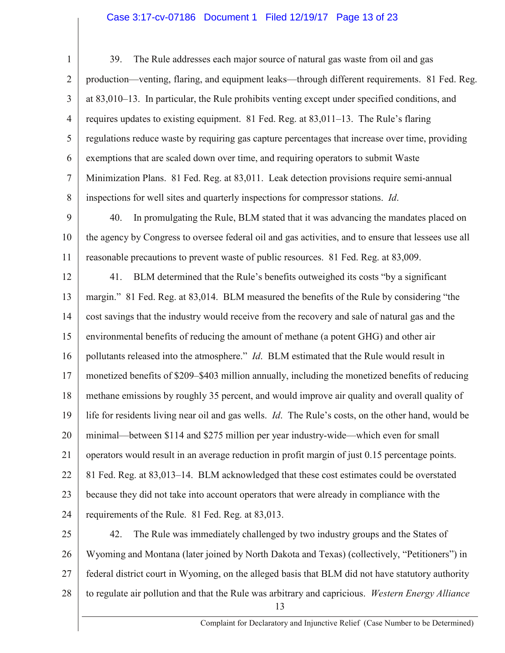## Case 3:17-cv-07186 Document 1 Filed 12/19/17 Page 13 of 23

1 2 3 4 5 6 7 8 39. The Rule addresses each major source of natural gas waste from oil and gas production—venting, flaring, and equipment leaks—through different requirements. 81 Fed. Reg. at 83,010–13. In particular, the Rule prohibits venting except under specified conditions, and requires updates to existing equipment. 81 Fed. Reg. at 83,011–13. The Rule's flaring regulations reduce waste by requiring gas capture percentages that increase over time, providing exemptions that are scaled down over time, and requiring operators to submit Waste Minimization Plans. 81 Fed. Reg. at 83,011. Leak detection provisions require semi-annual inspections for well sites and quarterly inspections for compressor stations. *Id*.

9 10 11 40. In promulgating the Rule, BLM stated that it was advancing the mandates placed on the agency by Congress to oversee federal oil and gas activities, and to ensure that lessees use all reasonable precautions to prevent waste of public resources. 81 Fed. Reg. at 83,009.

12 13 14 15 16 17 18 19 20 21 22 23 24 41. BLM determined that the Rule's benefits outweighed its costs "by a significant margin." 81 Fed. Reg. at 83,014. BLM measured the benefits of the Rule by considering "the cost savings that the industry would receive from the recovery and sale of natural gas and the environmental benefits of reducing the amount of methane (a potent GHG) and other air pollutants released into the atmosphere." *Id*. BLM estimated that the Rule would result in monetized benefits of \$209–\$403 million annually, including the monetized benefits of reducing methane emissions by roughly 35 percent, and would improve air quality and overall quality of life for residents living near oil and gas wells. *Id*. The Rule's costs, on the other hand, would be minimal—between \$114 and \$275 million per year industry-wide—which even for small operators would result in an average reduction in profit margin of just 0.15 percentage points. 81 Fed. Reg. at 83,013–14. BLM acknowledged that these cost estimates could be overstated because they did not take into account operators that were already in compliance with the requirements of the Rule. 81 Fed. Reg. at 83,013.

25 26 27 28 13 42. The Rule was immediately challenged by two industry groups and the States of Wyoming and Montana (later joined by North Dakota and Texas) (collectively, "Petitioners") in federal district court in Wyoming, on the alleged basis that BLM did not have statutory authority to regulate air pollution and that the Rule was arbitrary and capricious. *Western Energy Alliance*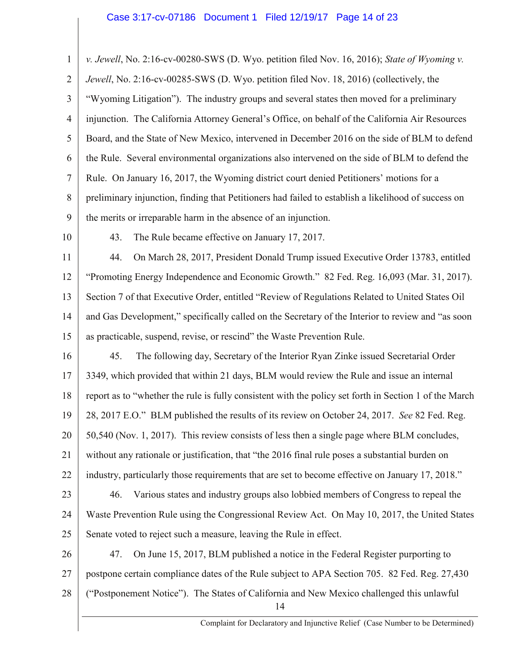## Case 3:17-cv-07186 Document 1 Filed 12/19/17 Page 14 of 23

1 2 3 4 5 6 7 8 9 *v. Jewell*, No. 2:16-cv-00280-SWS (D. Wyo. petition filed Nov. 16, 2016); *State of Wyoming v. Jewell*, No. 2:16-cv-00285-SWS (D. Wyo. petition filed Nov. 18, 2016) (collectively, the "Wyoming Litigation"). The industry groups and several states then moved for a preliminary injunction. The California Attorney General's Office, on behalf of the California Air Resources Board, and the State of New Mexico, intervened in December 2016 on the side of BLM to defend the Rule. Several environmental organizations also intervened on the side of BLM to defend the Rule. On January 16, 2017, the Wyoming district court denied Petitioners' motions for a preliminary injunction, finding that Petitioners had failed to establish a likelihood of success on the merits or irreparable harm in the absence of an injunction.

- 10
- 43. The Rule became effective on January 17, 2017.

11 12 13 14 15 44. On March 28, 2017, President Donald Trump issued Executive Order 13783, entitled "Promoting Energy Independence and Economic Growth." 82 Fed. Reg. 16,093 (Mar. 31, 2017). Section 7 of that Executive Order, entitled "Review of Regulations Related to United States Oil and Gas Development," specifically called on the Secretary of the Interior to review and "as soon as practicable, suspend, revise, or rescind" the Waste Prevention Rule.

16 17 18 19 20 21 22 45. The following day, Secretary of the Interior Ryan Zinke issued Secretarial Order 3349, which provided that within 21 days, BLM would review the Rule and issue an internal report as to "whether the rule is fully consistent with the policy set forth in Section 1 of the March 28, 2017 E.O." BLM published the results of its review on October 24, 2017. *See* 82 Fed. Reg. 50,540 (Nov. 1, 2017). This review consists of less then a single page where BLM concludes, without any rationale or justification, that "the 2016 final rule poses a substantial burden on industry, particularly those requirements that are set to become effective on January 17, 2018."

23

24 25 46. Various states and industry groups also lobbied members of Congress to repeal the Waste Prevention Rule using the Congressional Review Act. On May 10, 2017, the United States Senate voted to reject such a measure, leaving the Rule in effect.

26 27 28 14 47. On June 15, 2017, BLM published a notice in the Federal Register purporting to postpone certain compliance dates of the Rule subject to APA Section 705. 82 Fed. Reg. 27,430 ("Postponement Notice"). The States of California and New Mexico challenged this unlawful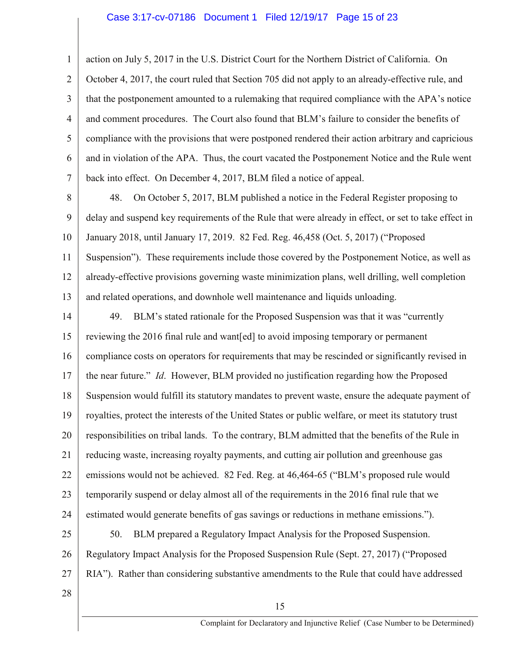#### Case 3:17-cv-07186 Document 1 Filed 12/19/17 Page 15 of 23

1 2 3 4 5 6 7 action on July 5, 2017 in the U.S. District Court for the Northern District of California. On October 4, 2017, the court ruled that Section 705 did not apply to an already-effective rule, and that the postponement amounted to a rulemaking that required compliance with the APA's notice and comment procedures. The Court also found that BLM's failure to consider the benefits of compliance with the provisions that were postponed rendered their action arbitrary and capricious and in violation of the APA. Thus, the court vacated the Postponement Notice and the Rule went back into effect. On December 4, 2017, BLM filed a notice of appeal.

8 9 10 11 12 13 48. On October 5, 2017, BLM published a notice in the Federal Register proposing to delay and suspend key requirements of the Rule that were already in effect, or set to take effect in January 2018, until January 17, 2019. 82 Fed. Reg. 46,458 (Oct. 5, 2017) ("Proposed Suspension"). These requirements include those covered by the Postponement Notice, as well as already-effective provisions governing waste minimization plans, well drilling, well completion and related operations, and downhole well maintenance and liquids unloading.

14 15 16 17 18 19 20 21 22 23 24 49. BLM's stated rationale for the Proposed Suspension was that it was "currently reviewing the 2016 final rule and want[ed] to avoid imposing temporary or permanent compliance costs on operators for requirements that may be rescinded or significantly revised in the near future." *Id*. However, BLM provided no justification regarding how the Proposed Suspension would fulfill its statutory mandates to prevent waste, ensure the adequate payment of royalties, protect the interests of the United States or public welfare, or meet its statutory trust responsibilities on tribal lands. To the contrary, BLM admitted that the benefits of the Rule in reducing waste, increasing royalty payments, and cutting air pollution and greenhouse gas emissions would not be achieved. 82 Fed. Reg. at 46,464-65 ("BLM's proposed rule would temporarily suspend or delay almost all of the requirements in the 2016 final rule that we estimated would generate benefits of gas savings or reductions in methane emissions.").

25 26 27 50. BLM prepared a Regulatory Impact Analysis for the Proposed Suspension. Regulatory Impact Analysis for the Proposed Suspension Rule (Sept. 27, 2017) ("Proposed RIA"). Rather than considering substantive amendments to the Rule that could have addressed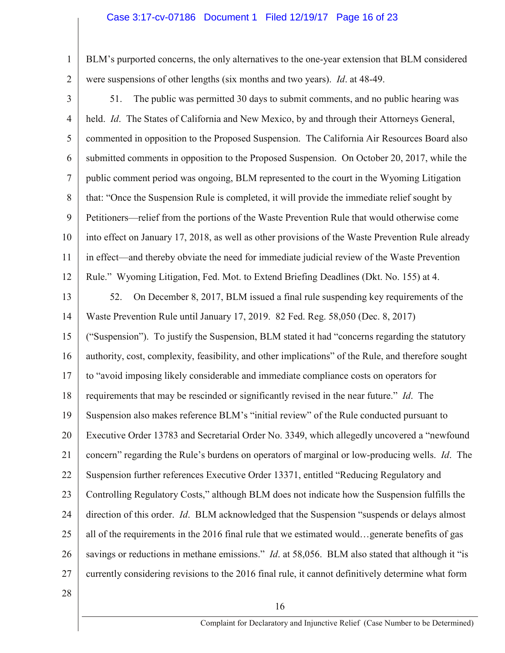## Case 3:17-cv-07186 Document 1 Filed 12/19/17 Page 16 of 23

- 1 2 BLM's purported concerns, the only alternatives to the one-year extension that BLM considered were suspensions of other lengths (six months and two years). *Id*. at 48-49.
- 3 4 5 6 7 8 9 10 11 12 51. The public was permitted 30 days to submit comments, and no public hearing was held. *Id*. The States of California and New Mexico, by and through their Attorneys General, commented in opposition to the Proposed Suspension. The California Air Resources Board also submitted comments in opposition to the Proposed Suspension. On October 20, 2017, while the public comment period was ongoing, BLM represented to the court in the Wyoming Litigation that: "Once the Suspension Rule is completed, it will provide the immediate relief sought by Petitioners—relief from the portions of the Waste Prevention Rule that would otherwise come into effect on January 17, 2018, as well as other provisions of the Waste Prevention Rule already in effect—and thereby obviate the need for immediate judicial review of the Waste Prevention Rule." Wyoming Litigation, Fed. Mot. to Extend Briefing Deadlines (Dkt. No. 155) at 4.
- 13 14 15 16 17 18 19 20 21 22 23 24 25 26 27 52. On December 8, 2017, BLM issued a final rule suspending key requirements of the Waste Prevention Rule until January 17, 2019. 82 Fed. Reg. 58,050 (Dec. 8, 2017) ("Suspension"). To justify the Suspension, BLM stated it had "concerns regarding the statutory authority, cost, complexity, feasibility, and other implications" of the Rule, and therefore sought to "avoid imposing likely considerable and immediate compliance costs on operators for requirements that may be rescinded or significantly revised in the near future." *Id*. The Suspension also makes reference BLM's "initial review" of the Rule conducted pursuant to Executive Order 13783 and Secretarial Order No. 3349, which allegedly uncovered a "newfound concern" regarding the Rule's burdens on operators of marginal or low-producing wells. *Id*. The Suspension further references Executive Order 13371, entitled "Reducing Regulatory and Controlling Regulatory Costs," although BLM does not indicate how the Suspension fulfills the direction of this order. *Id*. BLM acknowledged that the Suspension "suspends or delays almost all of the requirements in the 2016 final rule that we estimated would…generate benefits of gas savings or reductions in methane emissions." *Id*. at 58,056. BLM also stated that although it "is currently considering revisions to the 2016 final rule, it cannot definitively determine what form
- 28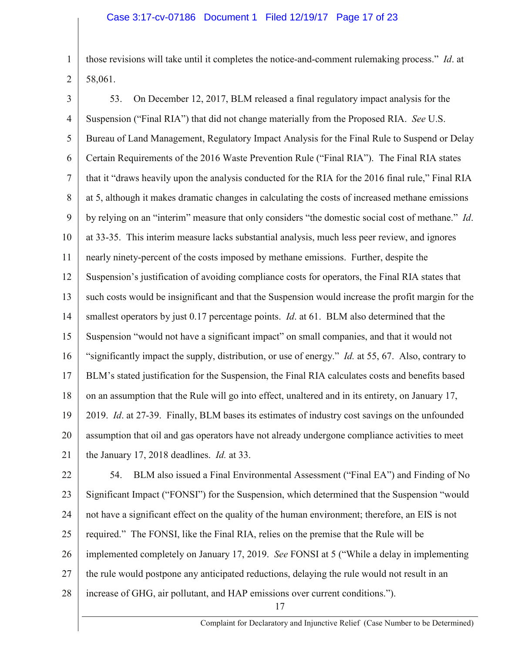1 2 those revisions will take until it completes the notice-and-comment rulemaking process." *Id*. at 58,061.

3 4 5 6 7 8 9 10 11 12 13 14 15 16 17 18 19 20 21 53. On December 12, 2017, BLM released a final regulatory impact analysis for the Suspension ("Final RIA") that did not change materially from the Proposed RIA. *See* U.S. Bureau of Land Management, Regulatory Impact Analysis for the Final Rule to Suspend or Delay Certain Requirements of the 2016 Waste Prevention Rule ("Final RIA"). The Final RIA states that it "draws heavily upon the analysis conducted for the RIA for the 2016 final rule," Final RIA at 5, although it makes dramatic changes in calculating the costs of increased methane emissions by relying on an "interim" measure that only considers "the domestic social cost of methane." *Id*. at 33-35. This interim measure lacks substantial analysis, much less peer review, and ignores nearly ninety-percent of the costs imposed by methane emissions. Further, despite the Suspension's justification of avoiding compliance costs for operators, the Final RIA states that such costs would be insignificant and that the Suspension would increase the profit margin for the smallest operators by just 0.17 percentage points. *Id*. at 61. BLM also determined that the Suspension "would not have a significant impact" on small companies, and that it would not "significantly impact the supply, distribution, or use of energy." *Id.* at 55, 67. Also, contrary to BLM's stated justification for the Suspension, the Final RIA calculates costs and benefits based on an assumption that the Rule will go into effect, unaltered and in its entirety, on January 17, 2019. *Id*. at 27-39. Finally, BLM bases its estimates of industry cost savings on the unfounded assumption that oil and gas operators have not already undergone compliance activities to meet the January 17, 2018 deadlines. *Id.* at 33.

22 23 24 25 26 27 28 54. BLM also issued a Final Environmental Assessment ("Final EA") and Finding of No Significant Impact ("FONSI") for the Suspension, which determined that the Suspension "would not have a significant effect on the quality of the human environment; therefore, an EIS is not required." The FONSI, like the Final RIA, relies on the premise that the Rule will be implemented completely on January 17, 2019. *See* FONSI at 5 ("While a delay in implementing the rule would postpone any anticipated reductions, delaying the rule would not result in an increase of GHG, air pollutant, and HAP emissions over current conditions.").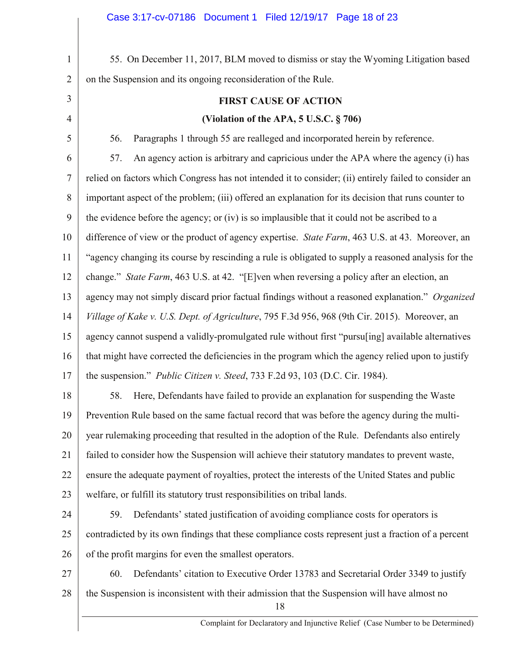1 2 3 4 5 6 7 8 9 10 11 12 13 14 15 16 17 18 19 20 21 22 23 24 25 26 27 28 18 55. On December 11, 2017, BLM moved to dismiss or stay the Wyoming Litigation based on the Suspension and its ongoing reconsideration of the Rule. **FIRST CAUSE OF ACTION (Violation of the APA, 5 U.S.C. § 706)** 56. Paragraphs 1 through 55 are realleged and incorporated herein by reference. 57. An agency action is arbitrary and capricious under the APA where the agency (i) has relied on factors which Congress has not intended it to consider; (ii) entirely failed to consider an important aspect of the problem; (iii) offered an explanation for its decision that runs counter to the evidence before the agency; or (iv) is so implausible that it could not be ascribed to a difference of view or the product of agency expertise. *State Farm*, 463 U.S. at 43. Moreover, an "agency changing its course by rescinding a rule is obligated to supply a reasoned analysis for the change." *State Farm*, 463 U.S. at 42. "[E]ven when reversing a policy after an election, an agency may not simply discard prior factual findings without a reasoned explanation." *Organized Village of Kake v. U.S. Dept. of Agriculture*, 795 F.3d 956, 968 (9th Cir. 2015). Moreover, an agency cannot suspend a validly-promulgated rule without first "pursu[ing] available alternatives that might have corrected the deficiencies in the program which the agency relied upon to justify the suspension." *Public Citizen v. Steed*, 733 F.2d 93, 103 (D.C. Cir. 1984). 58. Here, Defendants have failed to provide an explanation for suspending the Waste Prevention Rule based on the same factual record that was before the agency during the multiyear rulemaking proceeding that resulted in the adoption of the Rule. Defendants also entirely failed to consider how the Suspension will achieve their statutory mandates to prevent waste, ensure the adequate payment of royalties, protect the interests of the United States and public welfare, or fulfill its statutory trust responsibilities on tribal lands. 59. Defendants' stated justification of avoiding compliance costs for operators is contradicted by its own findings that these compliance costs represent just a fraction of a percent of the profit margins for even the smallest operators. 60. Defendants' citation to Executive Order 13783 and Secretarial Order 3349 to justify the Suspension is inconsistent with their admission that the Suspension will have almost no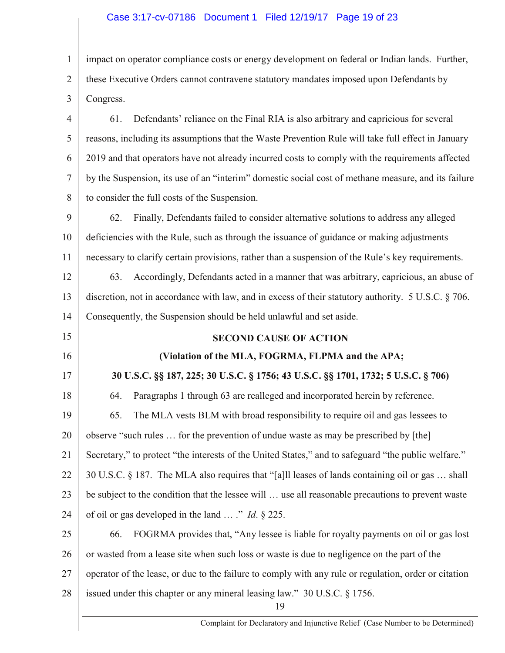## Case 3:17-cv-07186 Document 1 Filed 12/19/17 Page 19 of 23

1 2 3 impact on operator compliance costs or energy development on federal or Indian lands. Further, these Executive Orders cannot contravene statutory mandates imposed upon Defendants by Congress.

4 5 6 7 8 61. Defendants' reliance on the Final RIA is also arbitrary and capricious for several reasons, including its assumptions that the Waste Prevention Rule will take full effect in January 2019 and that operators have not already incurred costs to comply with the requirements affected by the Suspension, its use of an "interim" domestic social cost of methane measure, and its failure to consider the full costs of the Suspension.

9 10 11 62. Finally, Defendants failed to consider alternative solutions to address any alleged deficiencies with the Rule, such as through the issuance of guidance or making adjustments necessary to clarify certain provisions, rather than a suspension of the Rule's key requirements.

12 13 14 63. Accordingly, Defendants acted in a manner that was arbitrary, capricious, an abuse of discretion, not in accordance with law, and in excess of their statutory authority. 5 U.S.C. § 706. Consequently, the Suspension should be held unlawful and set aside.

## **SECOND CAUSE OF ACTION**

15

16

17

## **(Violation of the MLA, FOGRMA, FLPMA and the APA;**

**30 U.S.C. §§ 187, 225; 30 U.S.C. § 1756; 43 U.S.C. §§ 1701, 1732; 5 U.S.C. § 706)**

18 19 20 21 22 23 24 64. Paragraphs 1 through 63 are realleged and incorporated herein by reference. 65. The MLA vests BLM with broad responsibility to require oil and gas lessees to observe "such rules … for the prevention of undue waste as may be prescribed by [the] Secretary," to protect "the interests of the United States," and to safeguard "the public welfare." 30 U.S.C. § 187.The MLA also requires that "[a]ll leases of lands containing oil or gas … shall be subject to the condition that the lessee will … use all reasonable precautions to prevent waste of oil or gas developed in the land … ." *Id*. § 225.

25 26 27 28 66. FOGRMA provides that, "Any lessee is liable for royalty payments on oil or gas lost or wasted from a lease site when such loss or waste is due to negligence on the part of the operator of the lease, or due to the failure to comply with any rule or regulation, order or citation issued under this chapter or any mineral leasing law." 30 U.S.C. § 1756.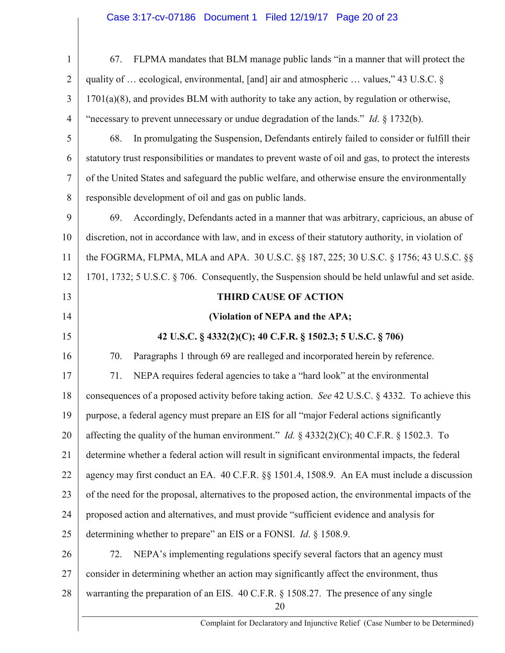## Case 3:17-cv-07186 Document 1 Filed 12/19/17 Page 20 of 23

| $\mathbf{1}$   | FLPMA mandates that BLM manage public lands "in a manner that will protect the<br>67.                  |  |  |  |
|----------------|--------------------------------------------------------------------------------------------------------|--|--|--|
| $\overline{2}$ | quality of  ecological, environmental, [and] air and atmospheric  values," 43 U.S.C. §                 |  |  |  |
| 3              | $1701(a)(8)$ , and provides BLM with authority to take any action, by regulation or otherwise,         |  |  |  |
| $\overline{4}$ | "necessary to prevent unnecessary or undue degradation of the lands." <i>Id.</i> $\S$ 1732(b).         |  |  |  |
| 5              | In promulgating the Suspension, Defendants entirely failed to consider or fulfill their<br>68.         |  |  |  |
| 6              | statutory trust responsibilities or mandates to prevent waste of oil and gas, to protect the interests |  |  |  |
| $\tau$         | of the United States and safeguard the public welfare, and otherwise ensure the environmentally        |  |  |  |
| 8              | responsible development of oil and gas on public lands.                                                |  |  |  |
| 9              | Accordingly, Defendants acted in a manner that was arbitrary, capricious, an abuse of<br>69.           |  |  |  |
| 10             | discretion, not in accordance with law, and in excess of their statutory authority, in violation of    |  |  |  |
| 11             | the FOGRMA, FLPMA, MLA and APA. 30 U.S.C. §§ 187, 225; 30 U.S.C. § 1756; 43 U.S.C. §§                  |  |  |  |
| 12             | 1701, 1732; 5 U.S.C. § 706. Consequently, the Suspension should be held unlawful and set aside.        |  |  |  |
| 13             | <b>THIRD CAUSE OF ACTION</b>                                                                           |  |  |  |
| 14             | (Violation of NEPA and the APA;                                                                        |  |  |  |
| 15             | 42 U.S.C. § 4332(2)(C); 40 C.F.R. § 1502.3; 5 U.S.C. § 706)                                            |  |  |  |
| 16             | Paragraphs 1 through 69 are realleged and incorporated herein by reference.<br>70.                     |  |  |  |
| 17             | NEPA requires federal agencies to take a "hard look" at the environmental<br>71.                       |  |  |  |
| 18             | consequences of a proposed activity before taking action. See 42 U.S.C. § 4332. To achieve this        |  |  |  |
| 19             | purpose, a federal agency must prepare an EIS for all "major Federal actions significantly             |  |  |  |
| 20             | affecting the quality of the human environment." <i>Id.</i> $\S$ 4332(2)(C); 40 C.F.R. $\S$ 1502.3. To |  |  |  |
| 21             | determine whether a federal action will result in significant environmental impacts, the federal       |  |  |  |
| 22             | agency may first conduct an EA. 40 C.F.R. §§ 1501.4, 1508.9. An EA must include a discussion           |  |  |  |
| 23             | of the need for the proposal, alternatives to the proposed action, the environmental impacts of the    |  |  |  |
| 24             | proposed action and alternatives, and must provide "sufficient evidence and analysis for               |  |  |  |
| 25             | determining whether to prepare" an EIS or a FONSI. <i>Id.</i> § 1508.9.                                |  |  |  |
| 26             | NEPA's implementing regulations specify several factors that an agency must<br>72.                     |  |  |  |
| 27             | consider in determining whether an action may significantly affect the environment, thus               |  |  |  |
| 28             | warranting the preparation of an EIS. 40 C.F.R. § 1508.27. The presence of any single<br>20            |  |  |  |
|                | Complaint for Declaratory and Injunctive Relief (Case Number to be Determined)                         |  |  |  |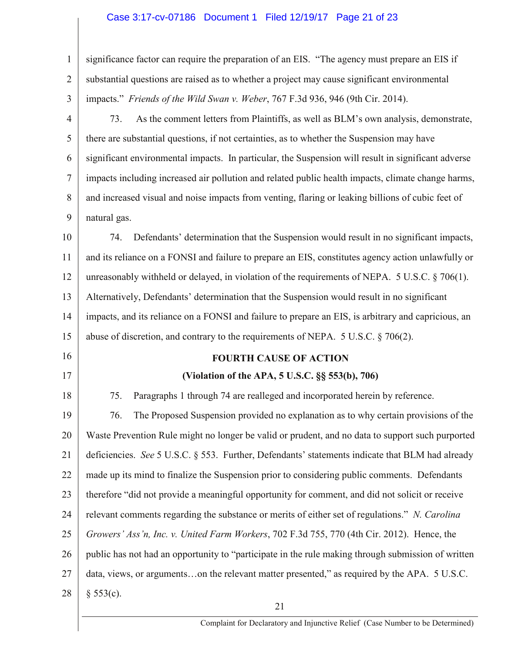# Case 3:17-cv-07186 Document 1 Filed 12/19/17 Page 21 of 23

| $\mathbf{1}$   | significance factor can require the preparation of an EIS. "The agency must prepare an EIS if                           |  |  |  |  |
|----------------|-------------------------------------------------------------------------------------------------------------------------|--|--|--|--|
| $\overline{2}$ | substantial questions are raised as to whether a project may cause significant environmental                            |  |  |  |  |
| 3              | impacts." Friends of the Wild Swan v. Weber, 767 F.3d 936, 946 (9th Cir. 2014).                                         |  |  |  |  |
| $\overline{4}$ | As the comment letters from Plaintiffs, as well as BLM's own analysis, demonstrate,<br>73.                              |  |  |  |  |
| 5              | there are substantial questions, if not certainties, as to whether the Suspension may have                              |  |  |  |  |
| 6              | significant environmental impacts. In particular, the Suspension will result in significant adverse                     |  |  |  |  |
| $\overline{7}$ | impacts including increased air pollution and related public health impacts, climate change harms,                      |  |  |  |  |
| 8              | and increased visual and noise impacts from venting, flaring or leaking billions of cubic feet of                       |  |  |  |  |
| 9              | natural gas.                                                                                                            |  |  |  |  |
| 10             | Defendants' determination that the Suspension would result in no significant impacts,<br>74.                            |  |  |  |  |
| 11             | and its reliance on a FONSI and failure to prepare an EIS, constitutes agency action unlawfully or                      |  |  |  |  |
| 12             | unreasonably withheld or delayed, in violation of the requirements of NEPA. $5 \text{ U.S.C.} \$ $\frac{206(1)}{100}$ . |  |  |  |  |
| 13             | Alternatively, Defendants' determination that the Suspension would result in no significant                             |  |  |  |  |
| 14             | impacts, and its reliance on a FONSI and failure to prepare an EIS, is arbitrary and capricious, an                     |  |  |  |  |
| 15             | abuse of discretion, and contrary to the requirements of NEPA. $5$ U.S.C. $\S$ 706(2).                                  |  |  |  |  |
| 16             | <b>FOURTH CAUSE OF ACTION</b>                                                                                           |  |  |  |  |
| 17             | (Violation of the APA, 5 U.S.C. §§ 553(b), 706)                                                                         |  |  |  |  |
| 18             | Paragraphs 1 through 74 are realleged and incorporated herein by reference.<br>75.                                      |  |  |  |  |
| 19             | The Proposed Suspension provided no explanation as to why certain provisions of the<br>76.                              |  |  |  |  |
| 20             | Waste Prevention Rule might no longer be valid or prudent, and no data to support such purported                        |  |  |  |  |
| 21             | deficiencies. See 5 U.S.C. § 553. Further, Defendants' statements indicate that BLM had already                         |  |  |  |  |
| 22             | made up its mind to finalize the Suspension prior to considering public comments. Defendants                            |  |  |  |  |
| 23             | therefore "did not provide a meaningful opportunity for comment, and did not solicit or receive                         |  |  |  |  |
| 24             | relevant comments regarding the substance or merits of either set of regulations." N. Carolina                          |  |  |  |  |
| 25             | Growers' Ass'n, Inc. v. United Farm Workers, 702 F.3d 755, 770 (4th Cir. 2012). Hence, the                              |  |  |  |  |
| 26             | public has not had an opportunity to "participate in the rule making through submission of written                      |  |  |  |  |
| 27             | data, views, or argumentson the relevant matter presented," as required by the APA. 5 U.S.C.                            |  |  |  |  |
| 28             | § 553(c).<br>21                                                                                                         |  |  |  |  |
|                |                                                                                                                         |  |  |  |  |

Complaint for Declaratory and Injunctive Relief (Case Number to be Determined)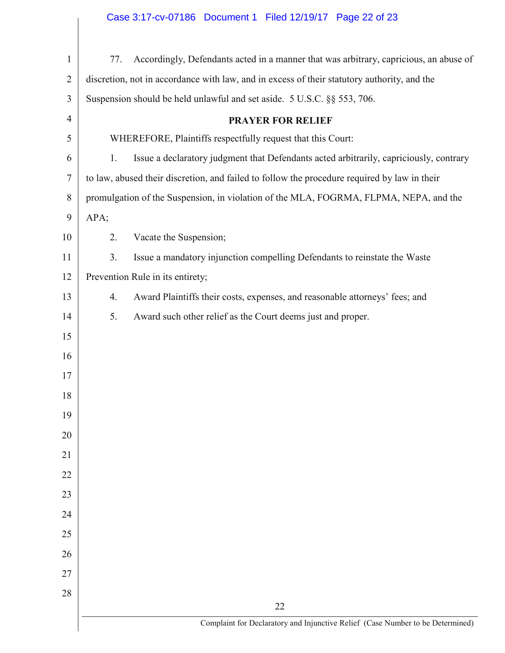## Case 3:17-cv-07186 Document 1 Filed 12/19/17 Page 22 of 23

| $\mathbf{1}$   | Accordingly, Defendants acted in a manner that was arbitrary, capricious, an abuse of<br>77. |                                                                                      |  |  |  |  |  |
|----------------|----------------------------------------------------------------------------------------------|--------------------------------------------------------------------------------------|--|--|--|--|--|
| $\overline{2}$ | discretion, not in accordance with law, and in excess of their statutory authority, and the  |                                                                                      |  |  |  |  |  |
| 3              | Suspension should be held unlawful and set aside. 5 U.S.C. §§ 553, 706.                      |                                                                                      |  |  |  |  |  |
| $\overline{4}$ |                                                                                              | <b>PRAYER FOR RELIEF</b>                                                             |  |  |  |  |  |
| 5              |                                                                                              | WHEREFORE, Plaintiffs respectfully request that this Court:                          |  |  |  |  |  |
| 6              | Issue a declaratory judgment that Defendants acted arbitrarily, capriciously, contrary<br>1. |                                                                                      |  |  |  |  |  |
| $\overline{7}$ | to law, abused their discretion, and failed to follow the procedure required by law in their |                                                                                      |  |  |  |  |  |
| 8              | promulgation of the Suspension, in violation of the MLA, FOGRMA, FLPMA, NEPA, and the        |                                                                                      |  |  |  |  |  |
| 9              | APA;                                                                                         |                                                                                      |  |  |  |  |  |
| 10             | 2.                                                                                           | Vacate the Suspension;                                                               |  |  |  |  |  |
| 11             | 3.                                                                                           | Issue a mandatory injunction compelling Defendants to reinstate the Waste            |  |  |  |  |  |
| 12             |                                                                                              | Prevention Rule in its entirety;                                                     |  |  |  |  |  |
| 13             | Award Plaintiffs their costs, expenses, and reasonable attorneys' fees; and<br>4.            |                                                                                      |  |  |  |  |  |
| 14             | 5.                                                                                           | Award such other relief as the Court deems just and proper.                          |  |  |  |  |  |
| 15             |                                                                                              |                                                                                      |  |  |  |  |  |
| 16             |                                                                                              |                                                                                      |  |  |  |  |  |
| 17             |                                                                                              |                                                                                      |  |  |  |  |  |
| 18             |                                                                                              |                                                                                      |  |  |  |  |  |
| 19             |                                                                                              |                                                                                      |  |  |  |  |  |
| 20             |                                                                                              |                                                                                      |  |  |  |  |  |
| 21             |                                                                                              |                                                                                      |  |  |  |  |  |
| 22             |                                                                                              |                                                                                      |  |  |  |  |  |
| 23             |                                                                                              |                                                                                      |  |  |  |  |  |
| 24             |                                                                                              |                                                                                      |  |  |  |  |  |
| 25             |                                                                                              |                                                                                      |  |  |  |  |  |
| 26             |                                                                                              |                                                                                      |  |  |  |  |  |
| 27             |                                                                                              |                                                                                      |  |  |  |  |  |
| 28             |                                                                                              |                                                                                      |  |  |  |  |  |
|                |                                                                                              | 22<br>Complaint for Declaratory and Injunctive Relief (Case Number to be Determined) |  |  |  |  |  |
|                |                                                                                              |                                                                                      |  |  |  |  |  |